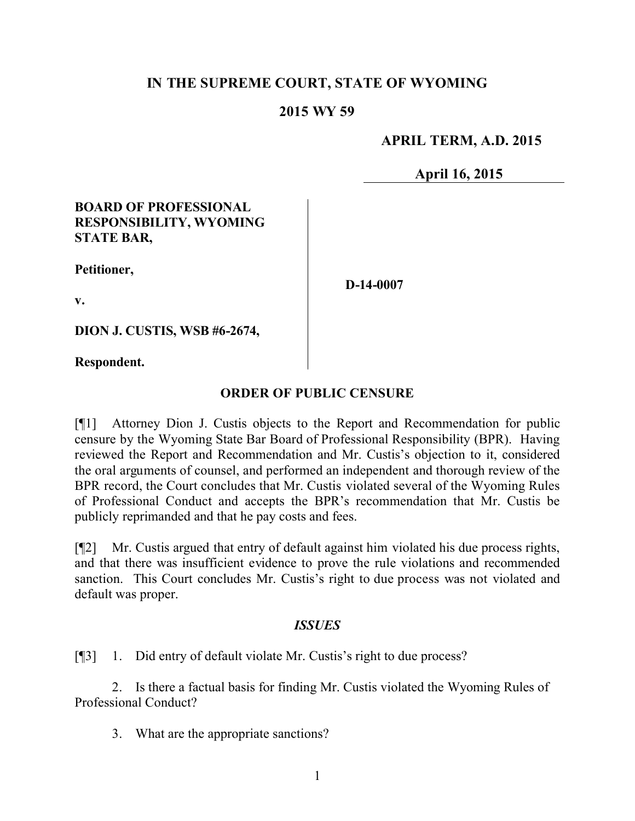#### **IN THE SUPREME COURT, STATE OF WYOMING**

#### **2015 WY 59**

#### **APRIL TERM, A.D. 2015**

**April 16, 2015**

#### **BOARD OF PROFESSIONAL RESPONSIBILITY, WYOMING STATE BAR,**

**Petitioner,**

**D-14-0007**

**v.**

**DION J. CUSTIS, WSB #6-2674,**

**Respondent.**

#### **ORDER OF PUBLIC CENSURE**

[¶1] Attorney Dion J. Custis objects to the Report and Recommendation for public censure by the Wyoming State Bar Board of Professional Responsibility (BPR). Having reviewed the Report and Recommendation and Mr. Custis's objection to it, considered the oral arguments of counsel, and performed an independent and thorough review of the BPR record, the Court concludes that Mr. Custis violated several of the Wyoming Rules of Professional Conduct and accepts the BPR's recommendation that Mr. Custis be publicly reprimanded and that he pay costs and fees.

[¶2] Mr. Custis argued that entry of default against him violated his due process rights, and that there was insufficient evidence to prove the rule violations and recommended sanction. This Court concludes Mr. Custis's right to due process was not violated and default was proper.

#### *ISSUES*

[¶3] 1. Did entry of default violate Mr. Custis's right to due process?

2. Is there a factual basis for finding Mr. Custis violated the Wyoming Rules of Professional Conduct?

3. What are the appropriate sanctions?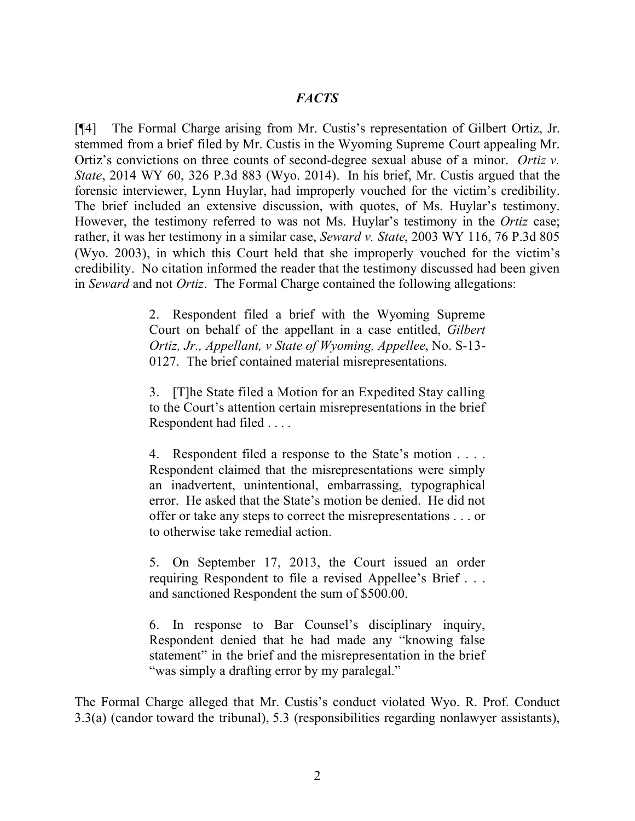[¶4] The Formal Charge arising from Mr. Custis's representation of Gilbert Ortiz, Jr. stemmed from a brief filed by Mr. Custis in the Wyoming Supreme Court appealing Mr. Ortiz's convictions on three counts of second-degree sexual abuse of a minor. *Ortiz v. State*, 2014 WY 60, 326 P.3d 883 (Wyo. 2014). In his brief, Mr. Custis argued that the forensic interviewer, Lynn Huylar, had improperly vouched for the victim's credibility. The brief included an extensive discussion, with quotes, of Ms. Huylar's testimony. However, the testimony referred to was not Ms. Huylar's testimony in the *Ortiz* case; rather, it was her testimony in a similar case, *Seward v. State*, 2003 WY 116, 76 P.3d 805 (Wyo. 2003), in which this Court held that she improperly vouched for the victim's credibility. No citation informed the reader that the testimony discussed had been given in *Seward* and not *Ortiz*. The Formal Charge contained the following allegations:

> 2. Respondent filed a brief with the Wyoming Supreme Court on behalf of the appellant in a case entitled, *Gilbert Ortiz, Jr., Appellant, v State of Wyoming, Appellee*, No. S-13- 0127. The brief contained material misrepresentations.

> 3. [T]he State filed a Motion for an Expedited Stay calling to the Court's attention certain misrepresentations in the brief Respondent had filed . . . .

> 4. Respondent filed a response to the State's motion . . . . Respondent claimed that the misrepresentations were simply an inadvertent, unintentional, embarrassing, typographical error. He asked that the State's motion be denied. He did not offer or take any steps to correct the misrepresentations . . . or to otherwise take remedial action.

> 5. On September 17, 2013, the Court issued an order requiring Respondent to file a revised Appellee's Brief . . . and sanctioned Respondent the sum of \$500.00.

> 6. In response to Bar Counsel's disciplinary inquiry, Respondent denied that he had made any "knowing false statement" in the brief and the misrepresentation in the brief "was simply a drafting error by my paralegal."

The Formal Charge alleged that Mr. Custis's conduct violated Wyo. R. Prof. Conduct 3.3(a) (candor toward the tribunal), 5.3 (responsibilities regarding nonlawyer assistants),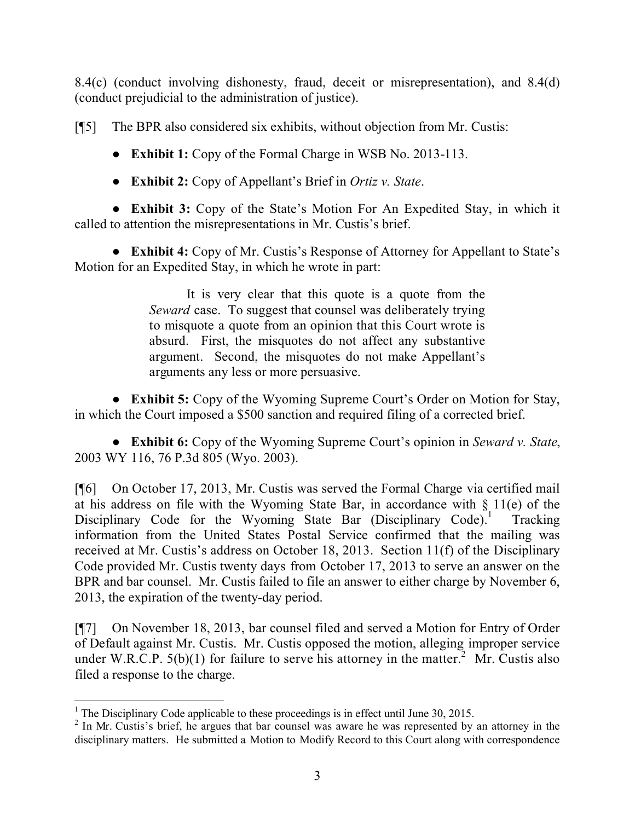8.4(c) (conduct involving dishonesty, fraud, deceit or misrepresentation), and 8.4(d) (conduct prejudicial to the administration of justice).

[¶5] The BPR also considered six exhibits, without objection from Mr. Custis:

**● Exhibit 1:** Copy of the Formal Charge in WSB No. 2013-113.

**● Exhibit 2:** Copy of Appellant's Brief in *Ortiz v. State*.

**● Exhibit 3:** Copy of the State's Motion For An Expedited Stay, in which it called to attention the misrepresentations in Mr. Custis's brief.

**● Exhibit 4:** Copy of Mr. Custis's Response of Attorney for Appellant to State's Motion for an Expedited Stay, in which he wrote in part:

> It is very clear that this quote is a quote from the *Seward* case. To suggest that counsel was deliberately trying to misquote a quote from an opinion that this Court wrote is absurd. First, the misquotes do not affect any substantive argument. Second, the misquotes do not make Appellant's arguments any less or more persuasive.

**● Exhibit 5:** Copy of the Wyoming Supreme Court's Order on Motion for Stay, in which the Court imposed a \$500 sanction and required filing of a corrected brief.

**● Exhibit 6:** Copy of the Wyoming Supreme Court's opinion in *Seward v. State*, 2003 WY 116, 76 P.3d 805 (Wyo. 2003).

[¶6] On October 17, 2013, Mr. Custis was served the Formal Charge via certified mail at his address on file with the Wyoming State Bar, in accordance with  $\S$  11(e) of the Disciplinary Code for the Wyoming State Bar (Disciplinary Code).<sup>1</sup> Tracking information from the United States Postal Service confirmed that the mailing was received at Mr. Custis's address on October 18, 2013. Section 11(f) of the Disciplinary Code provided Mr. Custis twenty days from October 17, 2013 to serve an answer on the BPR and bar counsel. Mr. Custis failed to file an answer to either charge by November 6, 2013, the expiration of the twenty-day period.

[¶7] On November 18, 2013, bar counsel filed and served a Motion for Entry of Order of Default against Mr. Custis. Mr. Custis opposed the motion, alleging improper service under W.R.C.P.  $5(b)(1)$  for failure to serve his attorney in the matter.<sup>2</sup> Mr. Custis also filed a response to the charge.

 <sup>1</sup> The Disciplinary Code applicable to these proceedings is in effect until June 30, 2015.

<sup>&</sup>lt;sup>2</sup> In Mr. Custis's brief, he argues that bar counsel was aware he was represented by an attorney in the disciplinary matters. He submitted a Motion to Modify Record to this Court along with correspondence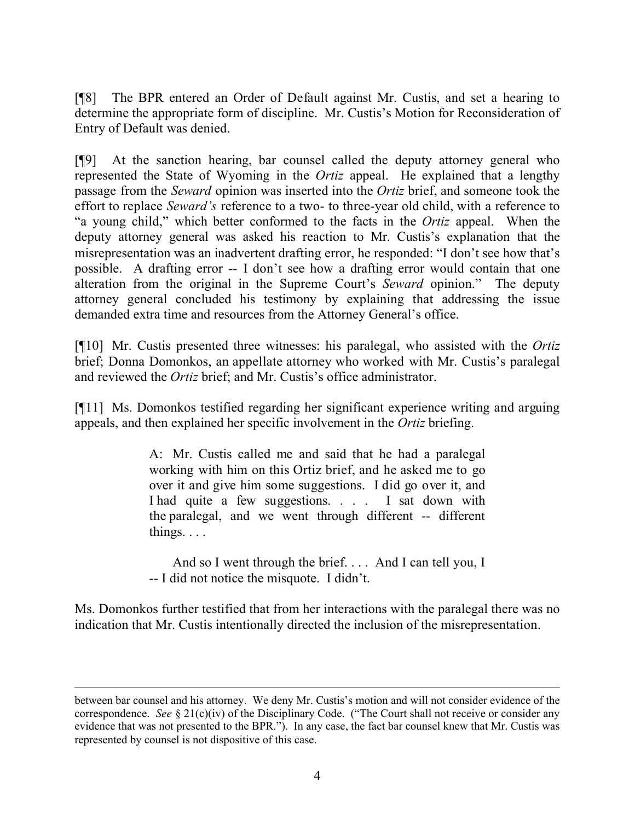[¶8] The BPR entered an Order of Default against Mr. Custis, and set a hearing to determine the appropriate form of discipline. Mr. Custis's Motion for Reconsideration of Entry of Default was denied.

[¶9] At the sanction hearing, bar counsel called the deputy attorney general who represented the State of Wyoming in the *Ortiz* appeal. He explained that a lengthy passage from the *Seward* opinion was inserted into the *Ortiz* brief, and someone took the effort to replace *Seward's* reference to a two- to three-year old child, with a reference to "a young child," which better conformed to the facts in the *Ortiz* appeal. When the deputy attorney general was asked his reaction to Mr. Custis's explanation that the misrepresentation was an inadvertent drafting error, he responded: "I don't see how that's possible. A drafting error -- I don't see how a drafting error would contain that one alteration from the original in the Supreme Court's *Seward* opinion." The deputy attorney general concluded his testimony by explaining that addressing the issue demanded extra time and resources from the Attorney General's office.

[¶10] Mr. Custis presented three witnesses: his paralegal, who assisted with the *Ortiz* brief; Donna Domonkos, an appellate attorney who worked with Mr. Custis's paralegal and reviewed the *Ortiz* brief; and Mr. Custis's office administrator.

[¶11] Ms. Domonkos testified regarding her significant experience writing and arguing appeals, and then explained her specific involvement in the *Ortiz* briefing.

> A: Mr. Custis called me and said that he had a paralegal working with him on this Ortiz brief, and he asked me to go over it and give him some suggestions. I did go over it, and I had quite a few suggestions. . . . I sat down with the paralegal, and we went through different -- different things. . . .

> And so I went through the brief.... And I can tell you, I -- I did not notice the misquote. I didn't.

Ms. Domonkos further testified that from her interactions with the paralegal there was no indication that Mr. Custis intentionally directed the inclusion of the misrepresentation.

between bar counsel and his attorney. We deny Mr. Custis's motion and will not consider evidence of the correspondence. *See* § 21(c)(iv) of the Disciplinary Code. ("The Court shall not receive or consider any evidence that was not presented to the BPR."). In any case, the fact bar counsel knew that Mr. Custis was represented by counsel is not dispositive of this case.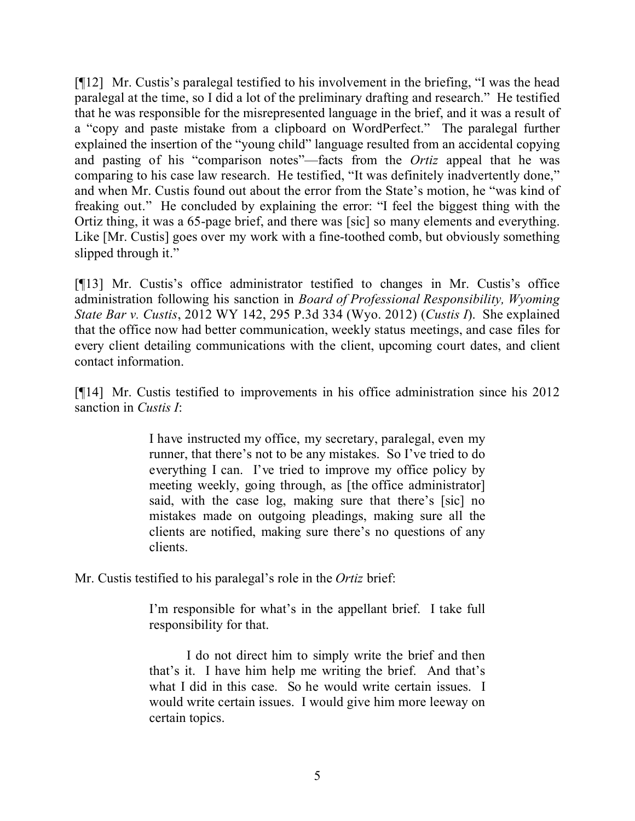[¶12] Mr. Custis's paralegal testified to his involvement in the briefing, "I was the head paralegal at the time, so I did a lot of the preliminary drafting and research." He testified that he was responsible for the misrepresented language in the brief, and it was a result of a "copy and paste mistake from a clipboard on WordPerfect." The paralegal further explained the insertion of the "young child" language resulted from an accidental copying and pasting of his "comparison notes"—facts from the *Ortiz* appeal that he was comparing to his case law research. He testified, "It was definitely inadvertently done," and when Mr. Custis found out about the error from the State's motion, he "was kind of freaking out." He concluded by explaining the error: "I feel the biggest thing with the Ortiz thing, it was a 65-page brief, and there was [sic] so many elements and everything. Like [Mr. Custis] goes over my work with a fine-toothed comb, but obviously something slipped through it."

[¶13] Mr. Custis's office administrator testified to changes in Mr. Custis's office administration following his sanction in *Board of Professional Responsibility, Wyoming State Bar v. Custis*, 2012 WY 142, 295 P.3d 334 (Wyo. 2012) (*Custis I*). She explained that the office now had better communication, weekly status meetings, and case files for every client detailing communications with the client, upcoming court dates, and client contact information.

[¶14] Mr. Custis testified to improvements in his office administration since his 2012 sanction in *Custis I*:

> I have instructed my office, my secretary, paralegal, even my runner, that there's not to be any mistakes. So I've tried to do everything I can. I've tried to improve my office policy by meeting weekly, going through, as [the office administrator] said, with the case log, making sure that there's [sic] no mistakes made on outgoing pleadings, making sure all the clients are notified, making sure there's no questions of any clients.

Mr. Custis testified to his paralegal's role in the *Ortiz* brief:

I'm responsible for what's in the appellant brief. I take full responsibility for that.

I do not direct him to simply write the brief and then that's it. I have him help me writing the brief. And that's what I did in this case. So he would write certain issues. I would write certain issues. I would give him more leeway on certain topics.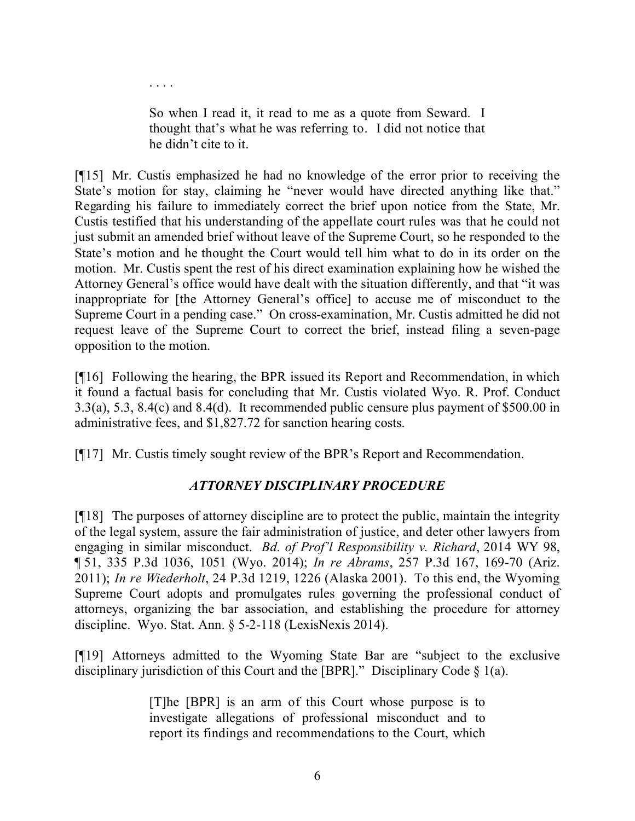So when I read it, it read to me as a quote from Seward. I thought that's what he was referring to. I did not notice that he didn't cite to it.

. . . .

[¶15] Mr. Custis emphasized he had no knowledge of the error prior to receiving the State's motion for stay, claiming he "never would have directed anything like that." Regarding his failure to immediately correct the brief upon notice from the State, Mr. Custis testified that his understanding of the appellate court rules was that he could not just submit an amended brief without leave of the Supreme Court, so he responded to the State's motion and he thought the Court would tell him what to do in its order on the motion. Mr. Custis spent the rest of his direct examination explaining how he wished the Attorney General's office would have dealt with the situation differently, and that "it was inappropriate for [the Attorney General's office] to accuse me of misconduct to the Supreme Court in a pending case." On cross-examination, Mr. Custis admitted he did not request leave of the Supreme Court to correct the brief, instead filing a seven-page opposition to the motion.

[¶16] Following the hearing, the BPR issued its Report and Recommendation, in which it found a factual basis for concluding that Mr. Custis violated Wyo. R. Prof. Conduct 3.3(a), 5.3, 8.4(c) and 8.4(d). It recommended public censure plus payment of \$500.00 in administrative fees, and \$1,827.72 for sanction hearing costs.

[¶17] Mr. Custis timely sought review of the BPR's Report and Recommendation.

## *ATTORNEY DISCIPLINARY PROCEDURE*

[¶18] The purposes of attorney discipline are to protect the public, maintain the integrity of the legal system, assure the fair administration of justice, and deter other lawyers from engaging in similar misconduct. *Bd. of Prof'l Responsibility v. Richard*, 2014 WY 98, ¶ 51, 335 P.3d 1036, 1051 (Wyo. 2014); *In re Abrams*, 257 P.3d 167, 169-70 (Ariz. 2011); *In re Wiederholt*, 24 P.3d 1219, 1226 (Alaska 2001). To this end, the Wyoming Supreme Court adopts and promulgates rules governing the professional conduct of attorneys, organizing the bar association, and establishing the procedure for attorney discipline. Wyo. Stat. Ann. § 5-2-118 (LexisNexis 2014).

[¶19] Attorneys admitted to the Wyoming State Bar are "subject to the exclusive disciplinary jurisdiction of this Court and the [BPR]." Disciplinary Code § 1(a).

> [T]he [BPR] is an arm of this Court whose purpose is to investigate allegations of professional misconduct and to report its findings and recommendations to the Court, which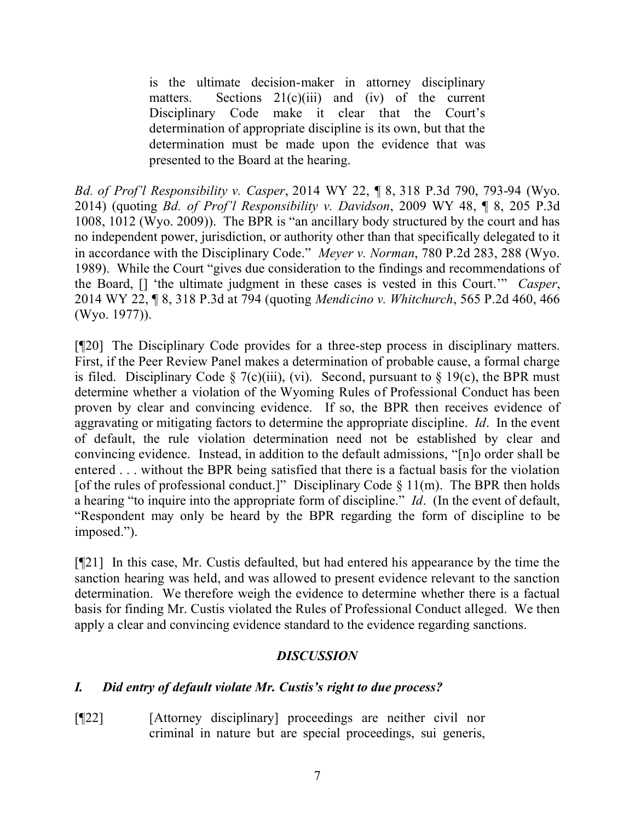is the ultimate decision-maker in attorney disciplinary matters. Sections  $21(c)(iii)$  and (iv) of the current Disciplinary Code make it clear that the Court's determination of appropriate discipline is its own, but that the determination must be made upon the evidence that was presented to the Board at the hearing.

*Bd. of Prof'l Responsibility v. Casper*, 2014 WY 22, ¶ 8, 318 P.3d 790, 793-94 (Wyo. 2014) (quoting *Bd. of Prof'l Responsibility v. Davidson*, 2009 WY 48, ¶ 8, 205 P.3d 1008, 1012 (Wyo. 2009)). The BPR is "an ancillary body structured by the court and has no independent power, jurisdiction, or authority other than that specifically delegated to it in accordance with the Disciplinary Code." *Meyer v. Norman*, 780 P.2d 283, 288 (Wyo. 1989). While the Court "gives due consideration to the findings and recommendations of the Board, [] 'the ultimate judgment in these cases is vested in this Court.'" *Casper*, 2014 WY 22, ¶ 8, 318 P.3d at 794 (quoting *Mendicino v. Whitchurch*, 565 P.2d 460, 466 (Wyo. 1977)).

[¶20] The Disciplinary Code provides for a three-step process in disciplinary matters. First, if the Peer Review Panel makes a determination of probable cause, a formal charge is filed. Disciplinary Code  $\S$  7(c)(iii), (vi). Second, pursuant to  $\S$  19(c), the BPR must determine whether a violation of the Wyoming Rules of Professional Conduct has been proven by clear and convincing evidence. If so, the BPR then receives evidence of aggravating or mitigating factors to determine the appropriate discipline. *Id*. In the event of default, the rule violation determination need not be established by clear and convincing evidence. Instead, in addition to the default admissions, "[n]o order shall be entered . . . without the BPR being satisfied that there is a factual basis for the violation [of the rules of professional conduct.]" Disciplinary Code  $\S$  11(m). The BPR then holds a hearing "to inquire into the appropriate form of discipline." *Id*. (In the event of default, "Respondent may only be heard by the BPR regarding the form of discipline to be imposed.").

[¶21] In this case, Mr. Custis defaulted, but had entered his appearance by the time the sanction hearing was held, and was allowed to present evidence relevant to the sanction determination. We therefore weigh the evidence to determine whether there is a factual basis for finding Mr. Custis violated the Rules of Professional Conduct alleged. We then apply a clear and convincing evidence standard to the evidence regarding sanctions.

### *DISCUSSION*

### *I. Did entry of default violate Mr. Custis's right to due process?*

[¶22] [Attorney disciplinary] proceedings are neither civil nor criminal in nature but are special proceedings, sui generis,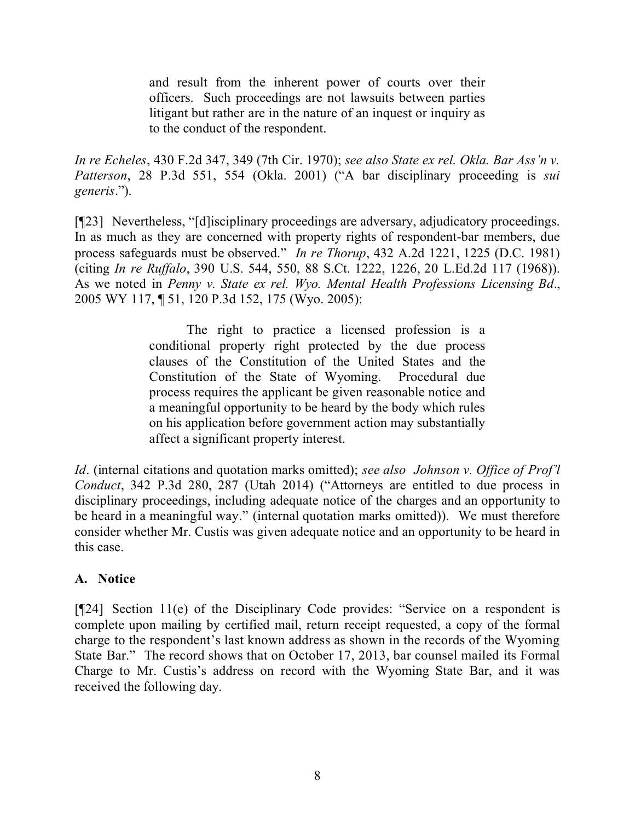and result from the inherent power of courts over their officers. Such proceedings are not lawsuits between parties litigant but rather are in the nature of an inquest or inquiry as to the conduct of the respondent.

*In re Echeles*, 430 F.2d 347, 349 (7th Cir. 1970); *see also State ex rel. Okla. Bar Ass'n v. Patterson*, 28 P.3d 551, 554 (Okla. 2001) ("A bar disciplinary proceeding is *sui generis*.").

[¶23] Nevertheless, "[d]isciplinary proceedings are adversary, adjudicatory proceedings. In as much as they are concerned with property rights of respondent-bar members, due process safeguards must be observed." *In re Thorup*, 432 A.2d 1221, 1225 (D.C. 1981) (citing *In re Ruffalo*, 390 U.S. 544, 550, 88 S.Ct. 1222, 1226, 20 L.Ed.2d 117 (1968)). As we noted in *Penny v. State ex rel. Wyo. Mental Health Professions Licensing Bd*., 2005 WY 117, ¶ 51, 120 P.3d 152, 175 (Wyo. 2005):

> The right to practice a licensed profession is a conditional property right protected by the due process clauses of the Constitution of the United States and the Constitution of the State of Wyoming. Procedural due process requires the applicant be given reasonable notice and a meaningful opportunity to be heard by the body which rules on his application before government action may substantially affect a significant property interest.

*Id*. (internal citations and quotation marks omitted); *see also Johnson v. Office of Prof'l Conduct*, 342 P.3d 280, 287 (Utah 2014) ("Attorneys are entitled to due process in disciplinary proceedings, including adequate notice of the charges and an opportunity to be heard in a meaningful way." (internal quotation marks omitted)). We must therefore consider whether Mr. Custis was given adequate notice and an opportunity to be heard in this case.

### **A. Notice**

[¶24] Section 11(e) of the Disciplinary Code provides: "Service on a respondent is complete upon mailing by certified mail, return receipt requested, a copy of the formal charge to the respondent's last known address as shown in the records of the Wyoming State Bar." The record shows that on October 17, 2013, bar counsel mailed its Formal Charge to Mr. Custis's address on record with the Wyoming State Bar, and it was received the following day.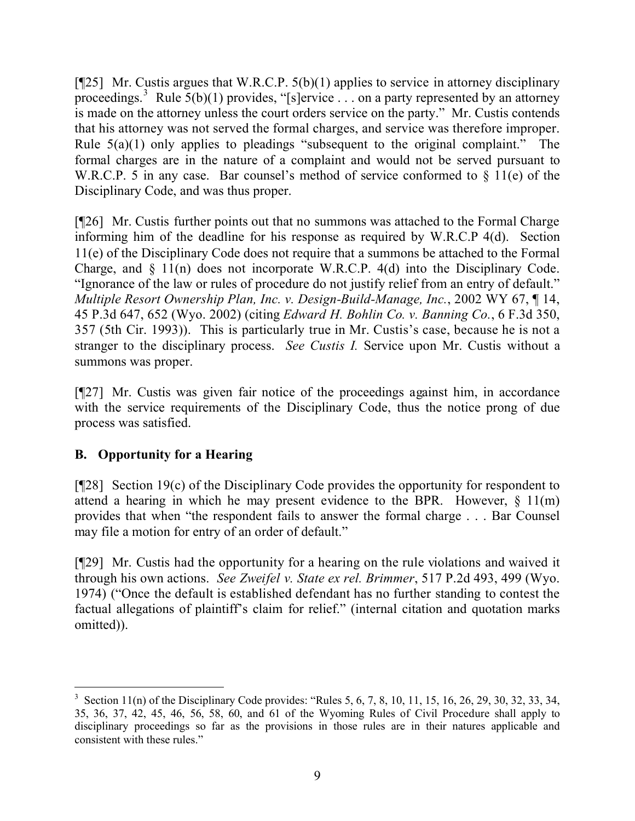[ $[$ 25] Mr. Custis argues that W.R.C.P. 5(b)(1) applies to service in attorney disciplinary proceedings.<sup>3</sup> Rule 5(b)(1) provides, "[s]ervice . . . on a party represented by an attorney is made on the attorney unless the court orders service on the party." Mr. Custis contends that his attorney was not served the formal charges, and service was therefore improper. Rule  $5(a)(1)$  only applies to pleadings "subsequent to the original complaint." The formal charges are in the nature of a complaint and would not be served pursuant to W.R.C.P. 5 in any case. Bar counsel's method of service conformed to  $\S$  11(e) of the Disciplinary Code, and was thus proper.

[¶26] Mr. Custis further points out that no summons was attached to the Formal Charge informing him of the deadline for his response as required by W.R.C.P 4(d). Section 11(e) of the Disciplinary Code does not require that a summons be attached to the Formal Charge, and § 11(n) does not incorporate W.R.C.P. 4(d) into the Disciplinary Code. "Ignorance of the law or rules of procedure do not justify relief from an entry of default." *Multiple Resort Ownership Plan, Inc. v. Design-Build-Manage, Inc.*, 2002 WY 67, ¶ 14, 45 P.3d 647, 652 (Wyo. 2002) (citing *Edward H. Bohlin Co. v. Banning Co.*, 6 F.3d 350, 357 (5th Cir. 1993)). This is particularly true in Mr. Custis's case, because he is not a stranger to the disciplinary process. *See Custis I.* Service upon Mr. Custis without a summons was proper.

[¶27] Mr. Custis was given fair notice of the proceedings against him, in accordance with the service requirements of the Disciplinary Code, thus the notice prong of due process was satisfied.

### **B. Opportunity for a Hearing**

[¶28] Section 19(c) of the Disciplinary Code provides the opportunity for respondent to attend a hearing in which he may present evidence to the BPR. However,  $\S$  11(m) provides that when "the respondent fails to answer the formal charge . . . Bar Counsel may file a motion for entry of an order of default."

[¶29] Mr. Custis had the opportunity for a hearing on the rule violations and waived it through his own actions. *See Zweifel v. State ex rel. Brimmer*, 517 P.2d 493, 499 (Wyo. 1974) ("Once the default is established defendant has no further standing to contest the factual allegations of plaintiff's claim for relief." (internal citation and quotation marks omitted)).

 <sup>3</sup> Section 11(n) of the Disciplinary Code provides: "Rules 5, 6, 7, 8, 10, 11, 15, 16, 26, 29, 30, 32, 33, 34, 35, 36, 37, 42, 45, 46, 56, 58, 60, and 61 of the Wyoming Rules of Civil Procedure shall apply to disciplinary proceedings so far as the provisions in those rules are in their natures applicable and consistent with these rules."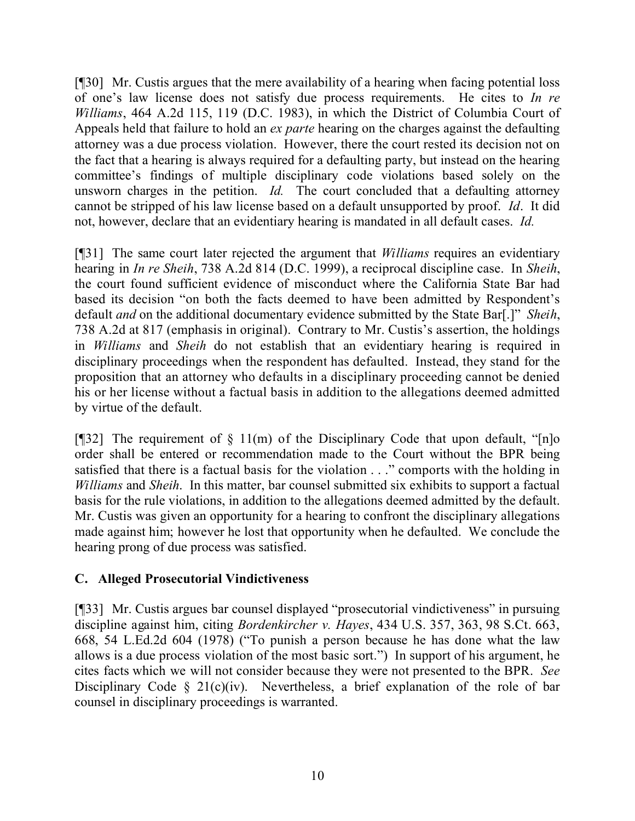[¶30] Mr. Custis argues that the mere availability of a hearing when facing potential loss of one's law license does not satisfy due process requirements. He cites to *In re Williams*, 464 A.2d 115, 119 (D.C. 1983), in which the District of Columbia Court of Appeals held that failure to hold an *ex parte* hearing on the charges against the defaulting attorney was a due process violation. However, there the court rested its decision not on the fact that a hearing is always required for a defaulting party, but instead on the hearing committee's findings of multiple disciplinary code violations based solely on the unsworn charges in the petition. *Id.* The court concluded that a defaulting attorney cannot be stripped of his law license based on a default unsupported by proof. *Id*. It did not, however, declare that an evidentiary hearing is mandated in all default cases. *Id.*

[¶31] The same court later rejected the argument that *Williams* requires an evidentiary hearing in *In re Sheih*, 738 A.2d 814 (D.C. 1999), a reciprocal discipline case. In *Sheih*, the court found sufficient evidence of misconduct where the California State Bar had based its decision "on both the facts deemed to have been admitted by Respondent's default *and* on the additional documentary evidence submitted by the State Bar[.]" *Sheih*, 738 A.2d at 817 (emphasis in original). Contrary to Mr. Custis's assertion, the holdings in *Williams* and *Sheih* do not establish that an evidentiary hearing is required in disciplinary proceedings when the respondent has defaulted. Instead, they stand for the proposition that an attorney who defaults in a disciplinary proceeding cannot be denied his or her license without a factual basis in addition to the allegations deemed admitted by virtue of the default.

[ $[$ ]32] The requirement of  $\S$  11(m) of the Disciplinary Code that upon default, "[n]o order shall be entered or recommendation made to the Court without the BPR being satisfied that there is a factual basis for the violation . . ." comports with the holding in *Williams* and *Sheih*. In this matter, bar counsel submitted six exhibits to support a factual basis for the rule violations, in addition to the allegations deemed admitted by the default. Mr. Custis was given an opportunity for a hearing to confront the disciplinary allegations made against him; however he lost that opportunity when he defaulted. We conclude the hearing prong of due process was satisfied.

### **C. Alleged Prosecutorial Vindictiveness**

[¶33] Mr. Custis argues bar counsel displayed "prosecutorial vindictiveness" in pursuing discipline against him, citing *Bordenkircher v. Hayes*, 434 U.S. 357, 363, 98 S.Ct. 663, 668, 54 L.Ed.2d 604 (1978) ("To punish a person because he has done what the law allows is a due process violation of the most basic sort.") In support of his argument, he cites facts which we will not consider because they were not presented to the BPR. *See* Disciplinary Code § 21(c)(iv). Nevertheless, a brief explanation of the role of bar counsel in disciplinary proceedings is warranted.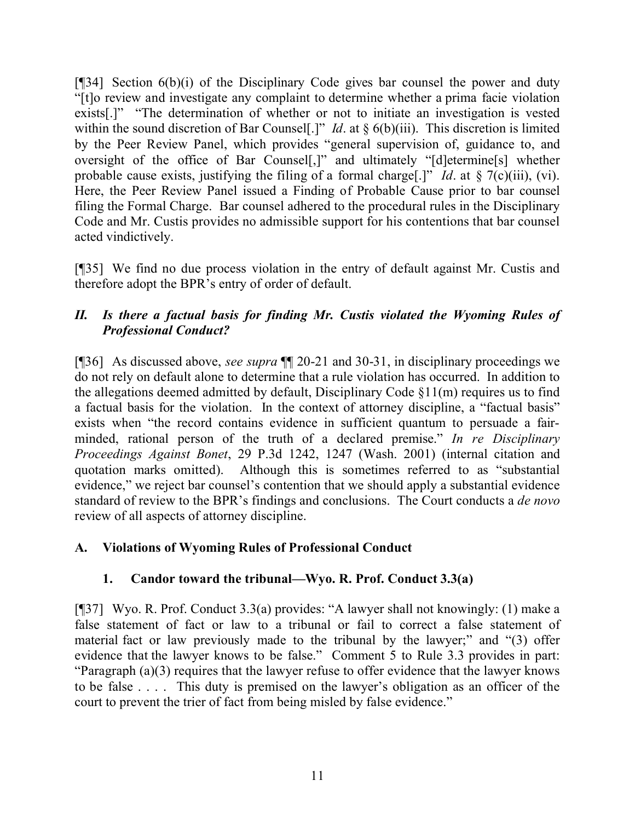[ $[$ ][34] Section 6(b)(i) of the Disciplinary Code gives bar counsel the power and duty "[t]o review and investigate any complaint to determine whether a prima facie violation exists[.]" "The determination of whether or not to initiate an investigation is vested within the sound discretion of Bar Counsel<sup>[.]"</sup> *Id.* at § 6(b)(iii). This discretion is limited by the Peer Review Panel, which provides "general supervision of, guidance to, and oversight of the office of Bar Counsel[,]" and ultimately "[d]etermine[s] whether probable cause exists, justifying the filing of a formal charge[.]" *Id*. at § 7(c)(iii), (vi). Here, the Peer Review Panel issued a Finding of Probable Cause prior to bar counsel filing the Formal Charge. Bar counsel adhered to the procedural rules in the Disciplinary Code and Mr. Custis provides no admissible support for his contentions that bar counsel acted vindictively.

[¶35] We find no due process violation in the entry of default against Mr. Custis and therefore adopt the BPR's entry of order of default.

### *II. Is there a factual basis for finding Mr. Custis violated the Wyoming Rules of Professional Conduct?*

[¶36] As discussed above, *see supra* ¶¶ 20-21 and 30-31, in disciplinary proceedings we do not rely on default alone to determine that a rule violation has occurred. In addition to the allegations deemed admitted by default, Disciplinary Code  $\S11(m)$  requires us to find a factual basis for the violation. In the context of attorney discipline, a "factual basis" exists when "the record contains evidence in sufficient quantum to persuade a fairminded, rational person of the truth of a declared premise." *In re Disciplinary Proceedings Against Bonet*, 29 P.3d 1242, 1247 (Wash. 2001) (internal citation and quotation marks omitted). Although this is sometimes referred to as "substantial evidence," we reject bar counsel's contention that we should apply a substantial evidence standard of review to the BPR's findings and conclusions. The Court conducts a *de novo* review of all aspects of attorney discipline.

### **A. Violations of Wyoming Rules of Professional Conduct**

### **1. Candor toward the tribunal—Wyo. R. Prof. Conduct 3.3(a)**

[¶37] Wyo. R. Prof. Conduct 3.3(a) provides: "A lawyer shall not knowingly: (1) make a false statement of fact or law to a tribunal or fail to correct a false statement of material fact or law previously made to the tribunal by the lawyer;" and "(3) offer evidence that the lawyer knows to be false." Comment 5 to Rule 3.3 provides in part: "Paragraph (a)(3) requires that the lawyer refuse to offer evidence that the lawyer knows to be false . . . . This duty is premised on the lawyer's obligation as an officer of the court to prevent the trier of fact from being misled by false evidence."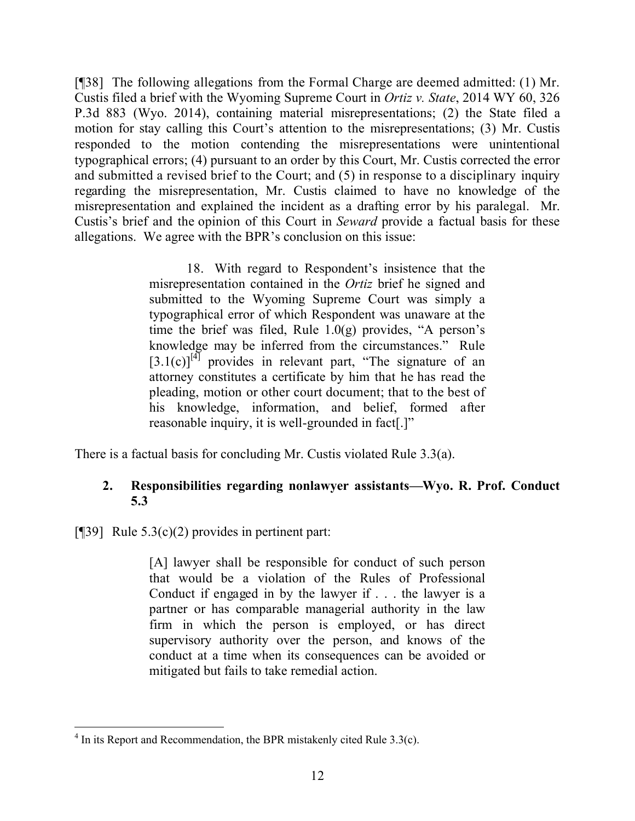[¶38] The following allegations from the Formal Charge are deemed admitted: (1) Mr. Custis filed a brief with the Wyoming Supreme Court in *Ortiz v. State*, 2014 WY 60, 326 P.3d 883 (Wyo. 2014), containing material misrepresentations; (2) the State filed a motion for stay calling this Court's attention to the misrepresentations; (3) Mr. Custis responded to the motion contending the misrepresentations were unintentional typographical errors; (4) pursuant to an order by this Court, Mr. Custis corrected the error and submitted a revised brief to the Court; and (5) in response to a disciplinary inquiry regarding the misrepresentation, Mr. Custis claimed to have no knowledge of the misrepresentation and explained the incident as a drafting error by his paralegal. Mr. Custis's brief and the opinion of this Court in *Seward* provide a factual basis for these allegations. We agree with the BPR's conclusion on this issue:

> 18. With regard to Respondent's insistence that the misrepresentation contained in the *Ortiz* brief he signed and submitted to the Wyoming Supreme Court was simply a typographical error of which Respondent was unaware at the time the brief was filed, Rule 1.0(g) provides, "A person's knowledge may be inferred from the circumstances." Rule  $[3.1(c)]^{[4]}$  provides in relevant part, "The signature of an attorney constitutes a certificate by him that he has read the pleading, motion or other court document; that to the best of his knowledge, information, and belief, formed after reasonable inquiry, it is well-grounded in fact[.]"

There is a factual basis for concluding Mr. Custis violated Rule 3.3(a).

#### **2. Responsibilities regarding nonlawyer assistants—Wyo. R. Prof. Conduct 5.3**

[ $[$ [39] Rule 5.3(c)(2) provides in pertinent part:

[A] lawyer shall be responsible for conduct of such person that would be a violation of the Rules of Professional Conduct if engaged in by the lawyer if . . . the lawyer is a partner or has comparable managerial authority in the law firm in which the person is employed, or has direct supervisory authority over the person, and knows of the conduct at a time when its consequences can be avoided or mitigated but fails to take remedial action.

 $4$  In its Report and Recommendation, the BPR mistakenly cited Rule 3.3(c).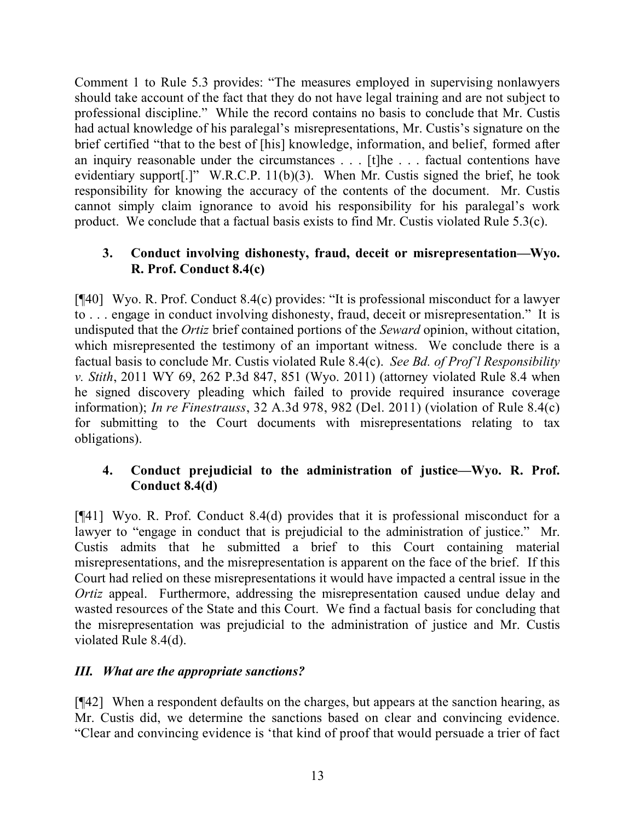Comment 1 to Rule 5.3 provides: "The measures employed in supervising nonlawyers should take account of the fact that they do not have legal training and are not subject to professional discipline." While the record contains no basis to conclude that Mr. Custis had actual knowledge of his paralegal's misrepresentations, Mr. Custis's signature on the brief certified "that to the best of [his] knowledge, information, and belief, formed after an inquiry reasonable under the circumstances . . . [t]he . . . factual contentions have evidentiary support[.]" W.R.C.P. 11(b)(3). When Mr. Custis signed the brief, he took responsibility for knowing the accuracy of the contents of the document. Mr. Custis cannot simply claim ignorance to avoid his responsibility for his paralegal's work product. We conclude that a factual basis exists to find Mr. Custis violated Rule 5.3(c).

#### **3. Conduct involving dishonesty, fraud, deceit or misrepresentation—Wyo. R. Prof. Conduct 8.4(c)**

[¶40] Wyo. R. Prof. Conduct 8.4(c) provides: "It is professional misconduct for a lawyer to . . . engage in conduct involving dishonesty, fraud, deceit or misrepresentation." It is undisputed that the *Ortiz* brief contained portions of the *Seward* opinion, without citation, which misrepresented the testimony of an important witness. We conclude there is a factual basis to conclude Mr. Custis violated Rule 8.4(c). *See Bd. of Prof'l Responsibility v. Stith*, 2011 WY 69, 262 P.3d 847, 851 (Wyo. 2011) (attorney violated Rule 8.4 when he signed discovery pleading which failed to provide required insurance coverage information); *In re Finestrauss*, 32 A.3d 978, 982 (Del. 2011) (violation of Rule 8.4(c) for submitting to the Court documents with misrepresentations relating to tax obligations).

### **4. Conduct prejudicial to the administration of justice—Wyo. R. Prof. Conduct 8.4(d)**

[¶41] Wyo. R. Prof. Conduct 8.4(d) provides that it is professional misconduct for a lawyer to "engage in conduct that is prejudicial to the administration of justice." Mr. Custis admits that he submitted a brief to this Court containing material misrepresentations, and the misrepresentation is apparent on the face of the brief. If this Court had relied on these misrepresentations it would have impacted a central issue in the *Ortiz* appeal. Furthermore, addressing the misrepresentation caused undue delay and wasted resources of the State and this Court. We find a factual basis for concluding that the misrepresentation was prejudicial to the administration of justice and Mr. Custis violated Rule 8.4(d).

### *III. What are the appropriate sanctions?*

[¶42] When a respondent defaults on the charges, but appears at the sanction hearing, as Mr. Custis did, we determine the sanctions based on clear and convincing evidence. "Clear and convincing evidence is 'that kind of proof that would persuade a trier of fact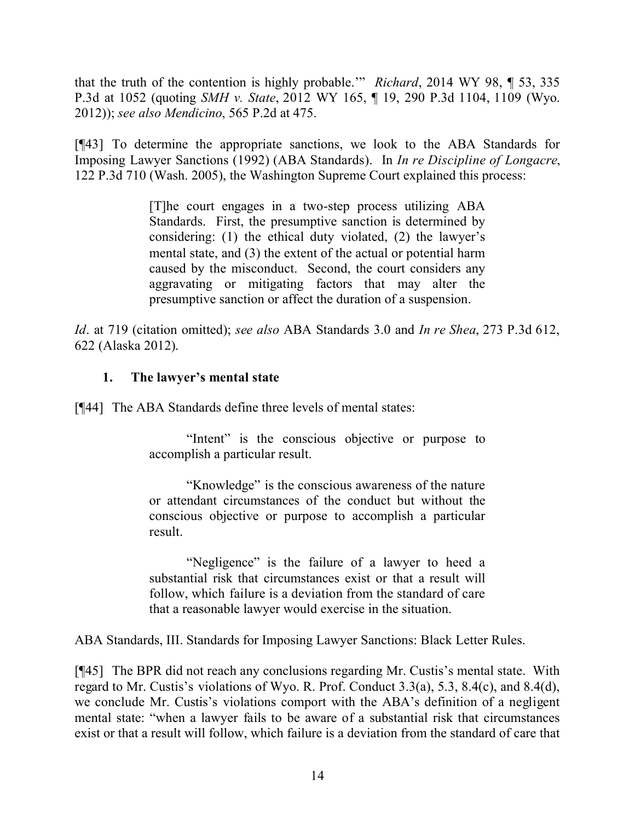that the truth of the contention is highly probable.'" *Richard*, 2014 WY 98, ¶ 53, 335 P.3d at 1052 (quoting *SMH v. State*, 2012 WY 165, ¶ 19, 290 P.3d 1104, 1109 (Wyo. 2012)); *see also Mendicino*, 565 P.2d at 475.

[¶43] To determine the appropriate sanctions, we look to the ABA Standards for Imposing Lawyer Sanctions (1992) (ABA Standards). In *In re Discipline of Longacre*, 122 P.3d 710 (Wash. 2005), the Washington Supreme Court explained this process:

> [T]he court engages in a two-step process utilizing ABA Standards. First, the presumptive sanction is determined by considering: (1) the ethical duty violated, (2) the lawyer's mental state, and (3) the extent of the actual or potential harm caused by the misconduct. Second, the court considers any aggravating or mitigating factors that may alter the presumptive sanction or affect the duration of a suspension.

*Id*. at 719 (citation omitted); *see also* ABA Standards 3.0 and *In re Shea*, 273 P.3d 612, 622 (Alaska 2012).

#### **1. The lawyer's mental state**

[¶44] The ABA Standards define three levels of mental states:

"Intent" is the conscious objective or purpose to accomplish a particular result.

"Knowledge" is the conscious awareness of the nature or attendant circumstances of the conduct but without the conscious objective or purpose to accomplish a particular result.

"Negligence" is the failure of a lawyer to heed a substantial risk that circumstances exist or that a result will follow, which failure is a deviation from the standard of care that a reasonable lawyer would exercise in the situation.

ABA Standards, III. Standards for Imposing Lawyer Sanctions: Black Letter Rules.

[¶45] The BPR did not reach any conclusions regarding Mr. Custis's mental state. With regard to Mr. Custis's violations of Wyo. R. Prof. Conduct 3.3(a), 5.3, 8.4(c), and 8.4(d), we conclude Mr. Custis's violations comport with the ABA's definition of a negligent mental state: "when a lawyer fails to be aware of a substantial risk that circumstances exist or that a result will follow, which failure is a deviation from the standard of care that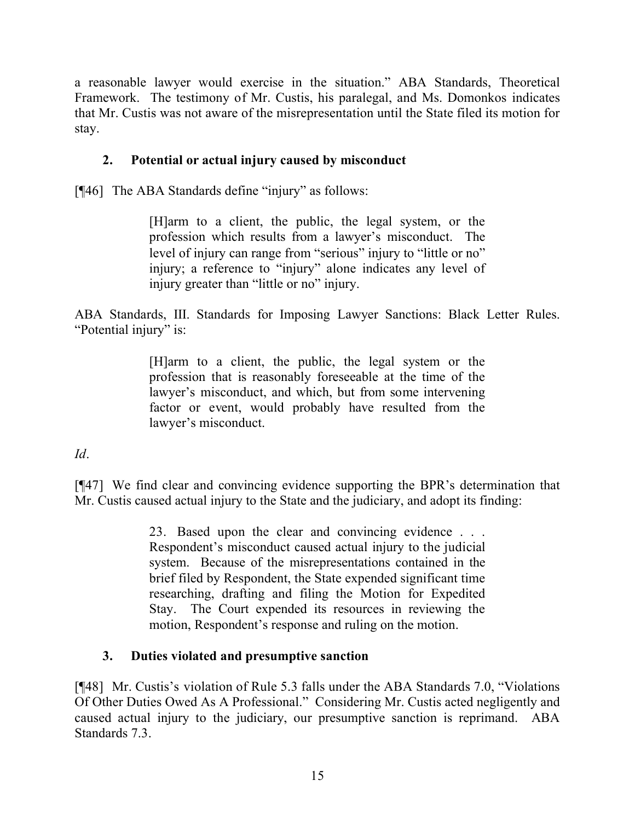a reasonable lawyer would exercise in the situation." ABA Standards, Theoretical Framework. The testimony of Mr. Custis, his paralegal, and Ms. Domonkos indicates that Mr. Custis was not aware of the misrepresentation until the State filed its motion for stay.

### **2. Potential or actual injury caused by misconduct**

[¶46] The ABA Standards define "injury" as follows:

[H]arm to a client, the public, the legal system, or the profession which results from a lawyer's misconduct. The level of injury can range from "serious" injury to "little or no" injury; a reference to "injury" alone indicates any level of injury greater than "little or no" injury.

ABA Standards, III. Standards for Imposing Lawyer Sanctions: Black Letter Rules. "Potential injury" is:

> [H]arm to a client, the public, the legal system or the profession that is reasonably foreseeable at the time of the lawyer's misconduct, and which, but from some intervening factor or event, would probably have resulted from the lawyer's misconduct.

*Id*.

[¶47] We find clear and convincing evidence supporting the BPR's determination that Mr. Custis caused actual injury to the State and the judiciary, and adopt its finding:

> 23. Based upon the clear and convincing evidence . . . Respondent's misconduct caused actual injury to the judicial system. Because of the misrepresentations contained in the brief filed by Respondent, the State expended significant time researching, drafting and filing the Motion for Expedited Stay. The Court expended its resources in reviewing the motion, Respondent's response and ruling on the motion.

### **3. Duties violated and presumptive sanction**

[¶48] Mr. Custis's violation of Rule 5.3 falls under the ABA Standards 7.0, "Violations Of Other Duties Owed As A Professional." Considering Mr. Custis acted negligently and caused actual injury to the judiciary, our presumptive sanction is reprimand. ABA Standards 7.3.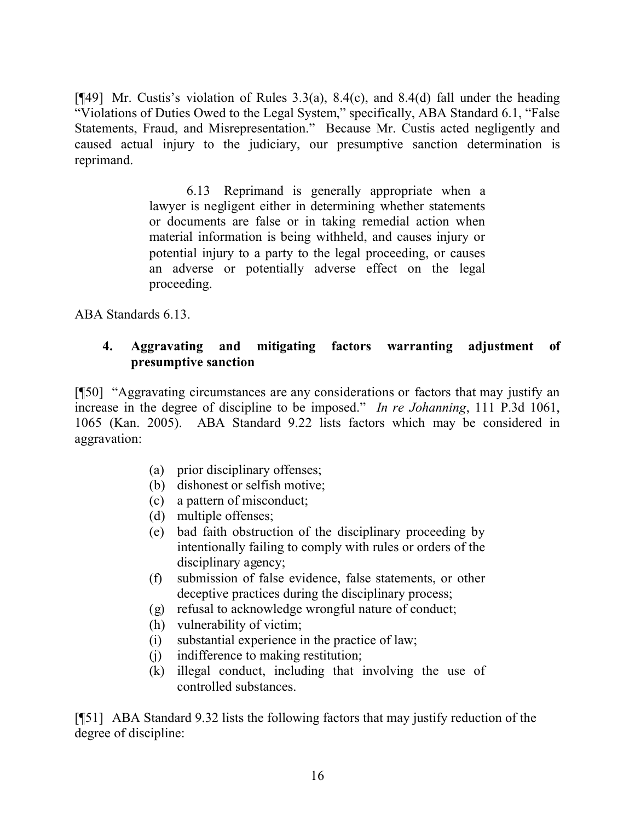[ $[$ 49] Mr. Custis's violation of Rules 3.3(a), 8.4(c), and 8.4(d) fall under the heading "Violations of Duties Owed to the Legal System," specifically, ABA Standard 6.1, "False Statements, Fraud, and Misrepresentation." Because Mr. Custis acted negligently and caused actual injury to the judiciary, our presumptive sanction determination is reprimand.

> 6.13 Reprimand is generally appropriate when a lawyer is negligent either in determining whether statements or documents are false or in taking remedial action when material information is being withheld, and causes injury or potential injury to a party to the legal proceeding, or causes an adverse or potentially adverse effect on the legal proceeding.

ABA Standards 6.13.

#### **4. Aggravating and mitigating factors warranting adjustment of presumptive sanction**

[¶50] "Aggravating circumstances are any considerations or factors that may justify an increase in the degree of discipline to be imposed." *In re Johanning*, 111 P.3d 1061, 1065 (Kan. 2005). ABA Standard 9.22 lists factors which may be considered in aggravation:

- (a) prior disciplinary offenses;
- (b) dishonest or selfish motive;
- (c) a pattern of misconduct;
- (d) multiple offenses;
- (e) bad faith obstruction of the disciplinary proceeding by intentionally failing to comply with rules or orders of the disciplinary agency;
- (f) submission of false evidence, false statements, or other deceptive practices during the disciplinary process;
- (g) refusal to acknowledge wrongful nature of conduct;
- (h) vulnerability of victim;
- (i) substantial experience in the practice of law;
- (j) indifference to making restitution;
- (k) illegal conduct, including that involving the use of controlled substances.

[¶51] ABA Standard 9.32 lists the following factors that may justify reduction of the degree of discipline: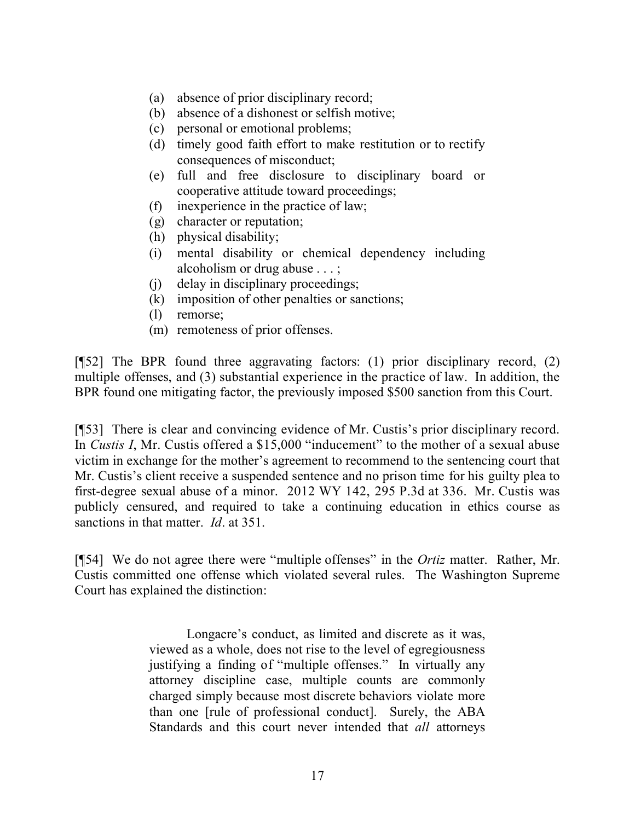- (a) absence of prior disciplinary record;
- (b) absence of a dishonest or selfish motive;
- (c) personal or emotional problems;
- (d) timely good faith effort to make restitution or to rectify consequences of misconduct;
- (e) full and free disclosure to disciplinary board or cooperative attitude toward proceedings;
- (f) inexperience in the practice of law;
- (g) character or reputation;
- (h) physical disability;
- (i) mental disability or chemical dependency including alcoholism or drug abuse . . . ;
- (j) delay in disciplinary proceedings;
- (k) imposition of other penalties or sanctions;
- (l) remorse;
- (m) remoteness of prior offenses.

[¶52] The BPR found three aggravating factors: (1) prior disciplinary record, (2) multiple offenses, and (3) substantial experience in the practice of law. In addition, the BPR found one mitigating factor, the previously imposed \$500 sanction from this Court.

[¶53] There is clear and convincing evidence of Mr. Custis's prior disciplinary record. In *Custis I*, Mr. Custis offered a \$15,000 "inducement" to the mother of a sexual abuse victim in exchange for the mother's agreement to recommend to the sentencing court that Mr. Custis's client receive a suspended sentence and no prison time for his guilty plea to first-degree sexual abuse of a minor. 2012 WY 142, 295 P.3d at 336. Mr. Custis was publicly censured, and required to take a continuing education in ethics course as sanctions in that matter. *Id*. at 351.

[¶54] We do not agree there were "multiple offenses" in the *Ortiz* matter. Rather, Mr. Custis committed one offense which violated several rules. The Washington Supreme Court has explained the distinction:

> Longacre's conduct, as limited and discrete as it was, viewed as a whole, does not rise to the level of egregiousness justifying a finding of "multiple offenses." In virtually any attorney discipline case, multiple counts are commonly charged simply because most discrete behaviors violate more than one [rule of professional conduct]. Surely, the ABA Standards and this court never intended that *all* attorneys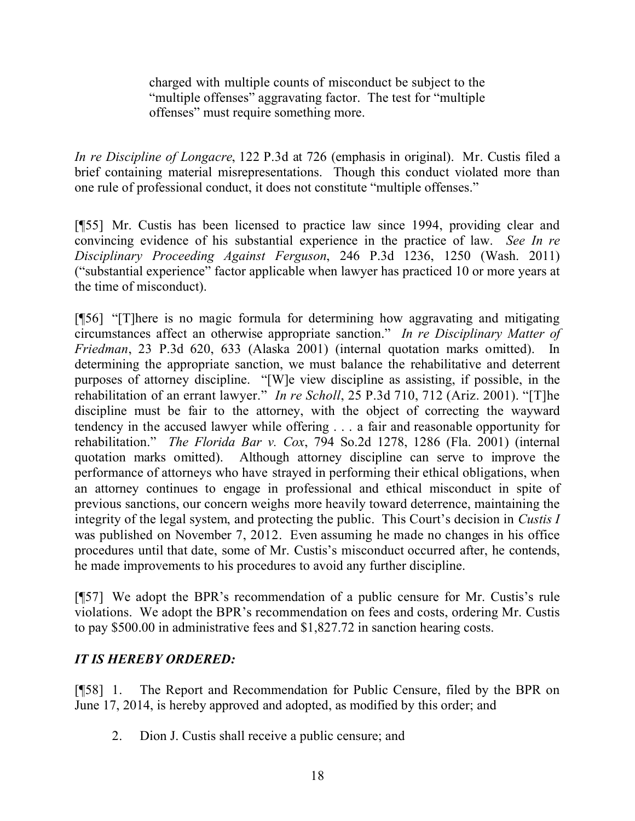charged with multiple counts of misconduct be subject to the "multiple offenses" aggravating factor. The test for "multiple offenses" must require something more.

*In re Discipline of Longacre*, 122 P.3d at 726 (emphasis in original). Mr. Custis filed a brief containing material misrepresentations. Though this conduct violated more than one rule of professional conduct, it does not constitute "multiple offenses."

[¶55] Mr. Custis has been licensed to practice law since 1994, providing clear and convincing evidence of his substantial experience in the practice of law. *See In re Disciplinary Proceeding Against Ferguson*, 246 P.3d 1236, 1250 (Wash. 2011) ("substantial experience" factor applicable when lawyer has practiced 10 or more years at the time of misconduct).

[¶56] "[T]here is no magic formula for determining how aggravating and mitigating circumstances affect an otherwise appropriate sanction." *In re Disciplinary Matter of Friedman*, 23 P.3d 620, 633 (Alaska 2001) (internal quotation marks omitted). In determining the appropriate sanction, we must balance the rehabilitative and deterrent purposes of attorney discipline. "[W]e view discipline as assisting, if possible, in the rehabilitation of an errant lawyer." *In re Scholl*, 25 P.3d 710, 712 (Ariz. 2001). "[T]he discipline must be fair to the attorney, with the object of correcting the wayward tendency in the accused lawyer while offering . . . a fair and reasonable opportunity for rehabilitation." *The Florida Bar v. Cox*, 794 So.2d 1278, 1286 (Fla. 2001) (internal quotation marks omitted). Although attorney discipline can serve to improve the performance of attorneys who have strayed in performing their ethical obligations, when an attorney continues to engage in professional and ethical misconduct in spite of previous sanctions, our concern weighs more heavily toward deterrence, maintaining the integrity of the legal system, and protecting the public. This Court's decision in *Custis I*  was published on November 7, 2012. Even assuming he made no changes in his office procedures until that date, some of Mr. Custis's misconduct occurred after, he contends, he made improvements to his procedures to avoid any further discipline.

[¶57] We adopt the BPR's recommendation of a public censure for Mr. Custis's rule violations. We adopt the BPR's recommendation on fees and costs, ordering Mr. Custis to pay \$500.00 in administrative fees and \$1,827.72 in sanction hearing costs.

### *IT IS HEREBY ORDERED:*

[¶58] 1. The Report and Recommendation for Public Censure, filed by the BPR on June 17, 2014, is hereby approved and adopted, as modified by this order; and

2. Dion J. Custis shall receive a public censure; and